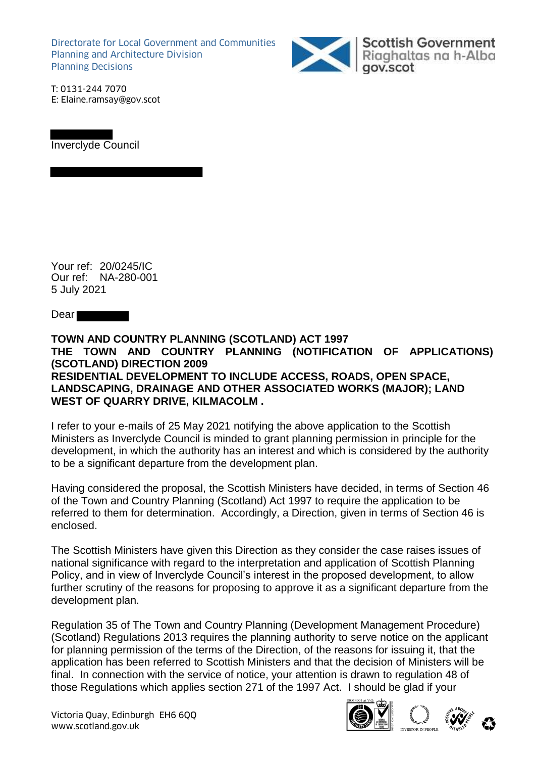Directorate for Local Government and Communities Planning and Architecture Division Planning Decisions



Scottish Government<br>Riaghaltas na h-Alba

T: 0131-244 7070 E: Elaine.ramsay@gov.scot



Your ref: 20/0245/IC Our ref: NA-280-001 5 July 2021

Dear **Dear** 

## **TOWN AND COUNTRY PLANNING (SCOTLAND) ACT 1997 THE TOWN AND COUNTRY PLANNING (NOTIFICATION OF APPLICATIONS) (SCOTLAND) DIRECTION 2009 RESIDENTIAL DEVELOPMENT TO INCLUDE ACCESS, ROADS, OPEN SPACE, LANDSCAPING, DRAINAGE AND OTHER ASSOCIATED WORKS (MAJOR); LAND WEST OF QUARRY DRIVE, KILMACOLM .**

I refer to your e-mails of 25 May 2021 notifying the above application to the Scottish Ministers as Inverclyde Council is minded to grant planning permission in principle for the development, in which the authority has an interest and which is considered by the authority to be a significant departure from the development plan.

Having considered the proposal, the Scottish Ministers have decided, in terms of Section 46 of the Town and Country Planning (Scotland) Act 1997 to require the application to be referred to them for determination. Accordingly, a Direction, given in terms of Section 46 is enclosed.

The Scottish Ministers have given this Direction as they consider the case raises issues of national significance with regard to the interpretation and application of Scottish Planning Policy, and in view of Inverclyde Council's interest in the proposed development, to allow further scrutiny of the reasons for proposing to approve it as a significant departure from the development plan.

Regulation 35 of The Town and Country Planning (Development Management Procedure) (Scotland) Regulations 2013 requires the planning authority to serve notice on the applicant for planning permission of the terms of the Direction, of the reasons for issuing it, that the application has been referred to Scottish Ministers and that the decision of Ministers will be final. In connection with the service of notice, your attention is drawn to regulation 48 of those Regulations which applies section 271 of the 1997 Act. I should be glad if your

Victoria Quay, Edinburgh EH6 6QQ Wictoria Quay, Edinburgh EH6 6QQ<br>www.scotland.gov.uk





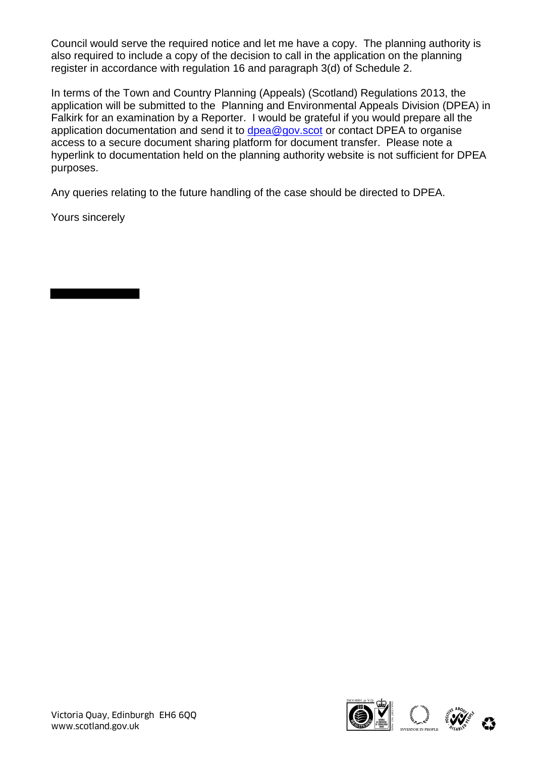Council would serve the required notice and let me have a copy. The planning authority is also required to include a copy of the decision to call in the application on the planning register in accordance with regulation 16 and paragraph 3(d) of Schedule 2.

In terms of the Town and Country Planning (Appeals) (Scotland) Regulations 2013, the application will be submitted to the Planning and Environmental Appeals Division (DPEA) in Falkirk for an examination by a Reporter. I would be grateful if you would prepare all the application documentation and send it to dpea@gov.scot or contact DPEA to organise access to a secure document sharing platform for document transfer. Please note a hyperlink to documentation held on the planning authority website is not sufficient for DPEA purposes.

Any queries relating to the future handling of the case should be directed to DPEA.

Yours sincerely